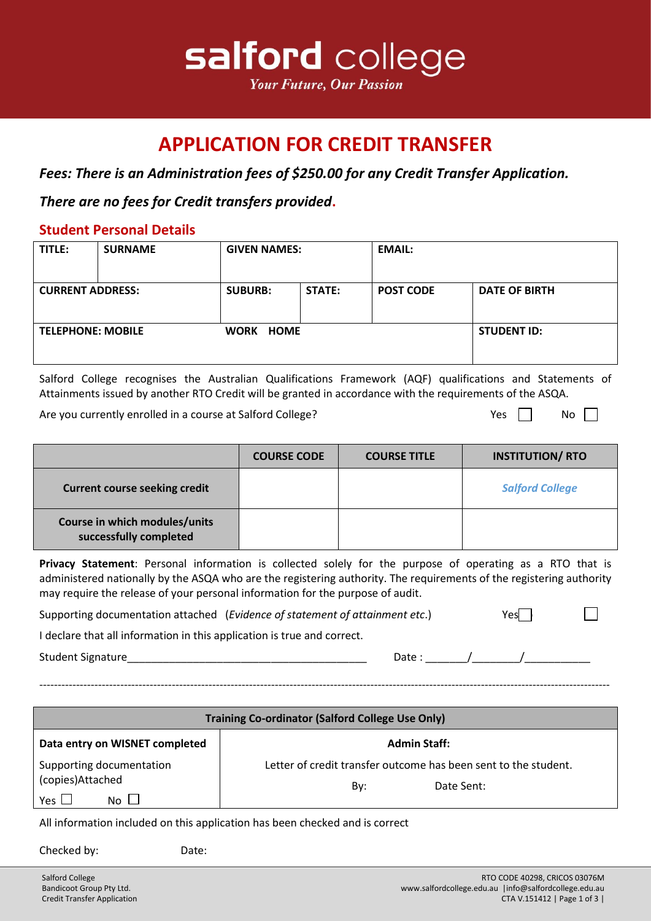

## **APPLICATION FOR CREDIT TRANSFER**

*Fees: There is an Administration fees of \$250.00 for any Credit Transfer Application.* 

*There are no fees for Credit transfers provided***.**

## **Student Personal Details**

| TITLE:                   | <b>SURNAME</b> | <b>GIVEN NAMES:</b> |        | <b>EMAIL:</b>    |                      |
|--------------------------|----------------|---------------------|--------|------------------|----------------------|
| <b>CURRENT ADDRESS:</b>  |                | <b>SUBURB:</b>      | STATE: | <b>POST CODE</b> | <b>DATE OF BIRTH</b> |
| <b>TELEPHONE: MOBILE</b> |                | WORK HOME           |        |                  | <b>STUDENT ID:</b>   |

Salford College recognises the Australian Qualifications Framework (AQF) qualifications and Statements of Attainments issued by another RTO Credit will be granted in accordance with the requirements of the ASQA.

Are you currently enrolled in a course at Salford College?  $Y$   $Y$ es  $\Box$  No  $\Box$ 

 $\perp$ 

|                                                         | <b>COURSE CODE</b> | <b>COURSE TITLE</b> | <b>INSTITUTION/RTO</b> |
|---------------------------------------------------------|--------------------|---------------------|------------------------|
| <b>Current course seeking credit</b>                    |                    |                     | <b>Salford College</b> |
| Course in which modules/units<br>successfully completed |                    |                     |                        |

**Privacy Statement**: Personal information is collected solely for the purpose of operating as a RTO that is administered nationally by the ASQA who are the registering authority. The requirements of the registering authority may require the release of your personal information for the purpose of audit.

Supporting documentation attached (*Evidence of statement of attainment etc*.) Yes

I declare that all information in this application is true and correct.

Student Signature\_\_\_\_\_\_\_\_\_\_\_\_\_\_\_\_\_\_\_\_\_\_\_\_\_\_\_\_\_\_\_\_\_\_\_\_\_\_\_\_ Date : \_\_\_\_\_\_\_/\_\_\_\_\_\_\_\_/\_\_\_\_\_\_\_\_\_\_\_

-----------------------------------------------------------------------------------------------------------------------------------------------------------

| <b>Training Co-ordinator (Salford College Use Only)</b>                 |                                                                                      |  |  |  |  |
|-------------------------------------------------------------------------|--------------------------------------------------------------------------------------|--|--|--|--|
| Data entry on WISNET completed<br><b>Admin Staff:</b>                   |                                                                                      |  |  |  |  |
| Supporting documentation<br>(copies)Attached<br>Yes $\Box$<br>No $\Box$ | Letter of credit transfer outcome has been sent to the student.<br>Date Sent:<br>Bv: |  |  |  |  |

All information included on this application has been checked and is correct

Checked by: Date: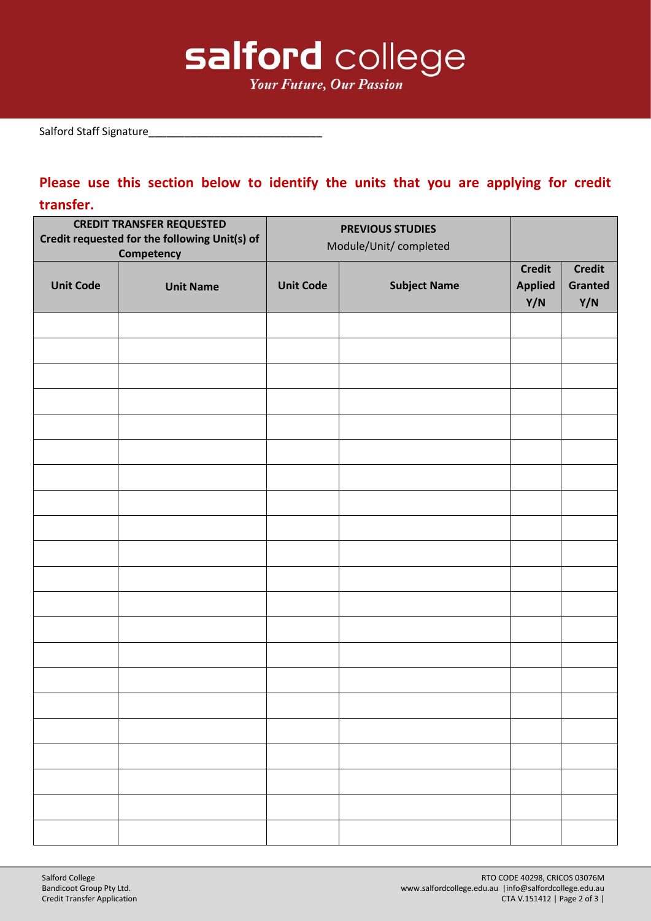

Salford Staff Signature\_

## **Please use this section below to identify the units that you are applying for credit transfer.**

| <b>CREDIT TRANSFER REQUESTED</b><br>Credit requested for the following Unit(s) of<br>Competency |                  | <b>PREVIOUS STUDIES</b><br>Module/Unit/ completed |                     |                                        |                                 |
|-------------------------------------------------------------------------------------------------|------------------|---------------------------------------------------|---------------------|----------------------------------------|---------------------------------|
| <b>Unit Code</b>                                                                                | <b>Unit Name</b> | <b>Unit Code</b>                                  | <b>Subject Name</b> | <b>Credit</b><br><b>Applied</b><br>Y/N | <b>Credit</b><br>Granted<br>Y/N |
|                                                                                                 |                  |                                                   |                     |                                        |                                 |
|                                                                                                 |                  |                                                   |                     |                                        |                                 |
|                                                                                                 |                  |                                                   |                     |                                        |                                 |
|                                                                                                 |                  |                                                   |                     |                                        |                                 |
|                                                                                                 |                  |                                                   |                     |                                        |                                 |
|                                                                                                 |                  |                                                   |                     |                                        |                                 |
|                                                                                                 |                  |                                                   |                     |                                        |                                 |
|                                                                                                 |                  |                                                   |                     |                                        |                                 |
|                                                                                                 |                  |                                                   |                     |                                        |                                 |
|                                                                                                 |                  |                                                   |                     |                                        |                                 |
|                                                                                                 |                  |                                                   |                     |                                        |                                 |
|                                                                                                 |                  |                                                   |                     |                                        |                                 |
|                                                                                                 |                  |                                                   |                     |                                        |                                 |
|                                                                                                 |                  |                                                   |                     |                                        |                                 |
|                                                                                                 |                  |                                                   |                     |                                        |                                 |
|                                                                                                 |                  |                                                   |                     |                                        |                                 |
|                                                                                                 |                  |                                                   |                     |                                        |                                 |
|                                                                                                 |                  |                                                   |                     |                                        |                                 |
|                                                                                                 |                  |                                                   |                     |                                        |                                 |
|                                                                                                 |                  |                                                   |                     |                                        |                                 |
|                                                                                                 |                  |                                                   |                     |                                        |                                 |